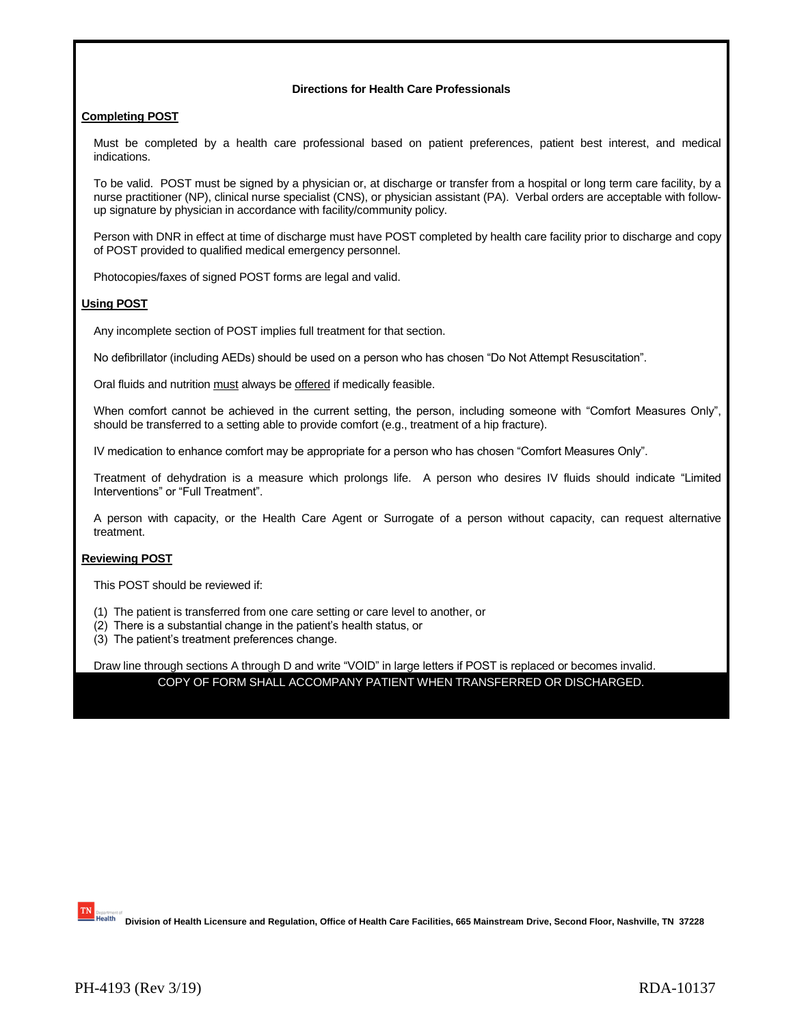## **Directions for Health Care Professionals**

## **Completing POST**

Must be completed by a health care professional based on patient preferences, patient best interest, and medical indications.

To be valid. POST must be signed by a physician or, at discharge or transfer from a hospital or long term care facility, by a nurse practitioner (NP), clinical nurse specialist (CNS), or physician assistant (PA). Verbal orders are acceptable with followup signature by physician in accordance with facility/community policy.

Person with DNR in effect at time of discharge must have POST completed by health care facility prior to discharge and copy of POST provided to qualified medical emergency personnel.

Photocopies/faxes of signed POST forms are legal and valid.

## **Using POST**

Any incomplete section of POST implies full treatment for that section.

No defibrillator (including AEDs) should be used on a person who has chosen "Do Not Attempt Resuscitation".

Oral fluids and nutrition must always be offered if medically feasible.

When comfort cannot be achieved in the current setting, the person, including someone with "Comfort Measures Only", should be transferred to a setting able to provide comfort (e.g., treatment of a hip fracture).

IV medication to enhance comfort may be appropriate for a person who has chosen "Comfort Measures Only".

Treatment of dehydration is a measure which prolongs life. A person who desires IV fluids should indicate "Limited Interventions" or "Full Treatment".

A person with capacity, or the Health Care Agent or Surrogate of a person without capacity, can request alternative treatment.

## **Reviewing POST**

This POST should be reviewed if:

- (1) The patient is transferred from one care setting or care level to another, or
- (2) There is a substantial change in the patient's health status, or
- (3) The patient's treatment preferences change.

Draw line through sections A through D and write "VOID" in large letters if POST is replaced or becomes invalid.

COPY OF FORM SHALL ACCOMPANY PATIENT WHEN TRANSFERRED OR DISCHARGED.

**TN** Beathered **Division of Health Licensure and Regulation**, Office of Health Care Facilities, 665 Mainstream Drive, Second Floor, Nashville, TN 37228